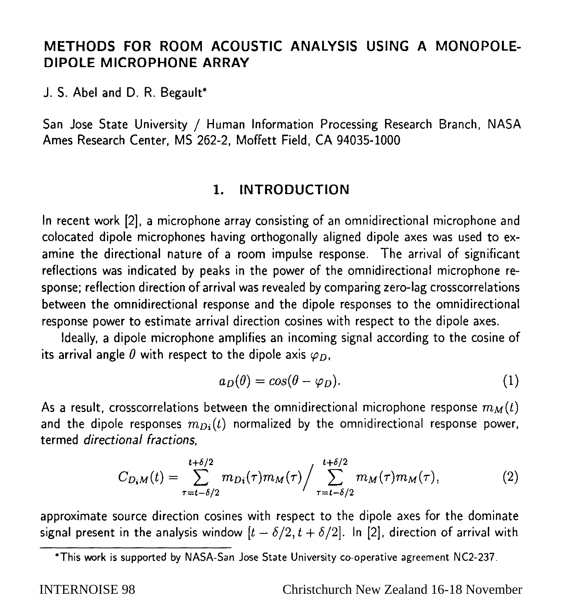# **METHODS FOR ROOM ACOUSTIC ANALYSIS USING A MONOPOLE-DIPOLE MICROPHONE ARRAY**

**J. S. Abel and D. R. Begault\*** 

**San Jose State University / Human Information Processing Research Branch, NASA Ames Research Center, MS 262-2, Moffett Field, CA 94035-1000** 

# **1. INTRODUCTION**

**In recent work [2], a microphone array consisting of an omnidirectional microphone and colocated dipole microphones having orthogonally aligned dipole axes was used to examine the directional nature of a room impulse response. The arrival of significant reflections was indicated by peaks in the power of the omnidirectional microphone response; reflection direction of arrival was revealed by comparing zero-lag crosscorrelations between the omnidirectional response and the dipole responses to the omnidirectional response power to estimate arrival direction cosines with respect to the dipole axes.** 

**Ideally, a dipole microphone amplifies an incoming signal according to the cosine of**  its arrival angle  $\theta$  with respect to the dipole axis  $\varphi_D$ ,

$$
a_D(\theta) = \cos(\theta - \varphi_D). \tag{1}
$$

As a result, crosscorrelations between the omnidirectional microphone response  $m<sub>M</sub>(t)$ and the dipole responses  $m_{Di}(t)$  normalized by the omnidirectional response power, **termed directional fractions,** 

$$
C_{D_iM}(t) = \sum_{\tau=t-\delta/2}^{t+\delta/2} m_{Di}(\tau) m_M(\tau) / \sum_{\tau=t-\delta/2}^{t+\delta/2} m_M(\tau) m_M(\tau), \tag{2}
$$

**approximate source direction cosines with respect to the dipole axes for the dominate**  signal present in the analysis window  $[t - \delta/2, t + \delta/2]$ . In [2], direction of arrival with

INTERNOISE 98 Christchurch New Zealand 16-18 November

<sup>\*</sup>This work is supported by NASA-San Jose State University co-operative agreement NC2-237.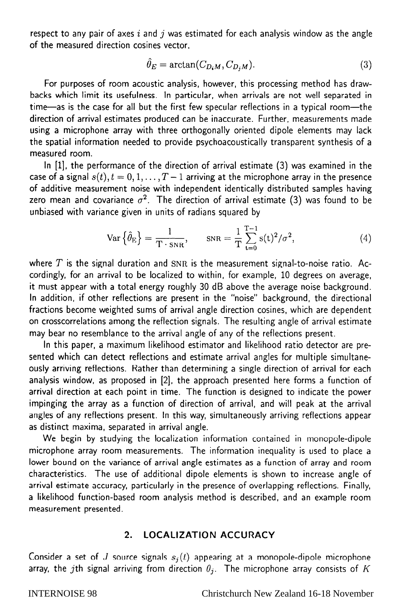**respect to any pair of axes i and j was estimated for each analysis window as the angle of the measured direction cosines vector,** 

$$
\hat{\theta}_E = \arctan(C_{D_iM}, C_{D_iM}).\tag{3}
$$

**For purposes of room acoustic analysis, however, this processing method has drawbacks which limit its usefulness. In particular, when arrivals are not well separated in time-as is the case for all but the first few specular reflections in a typical room-the direction of arrival estimates produced can be inaccurate. Further, measurements made using a microphone array with three orthogonally oriented dipole elements may lack the spatial information needed to provide psychoacoustically transparent synthesis of a measured room.** 

**In** [l], **the performance of the direction of arrival estimate (3) was examined in the**  case of a signal  $s(t)$ ,  $t = 0, 1, \ldots, T-1$  arriving at the microphone array in the presence **of additive measurement noise with independent identically distributed samples having**  zero mean and covariance  $\sigma^2$ . The direction of arrival estimate (3) was found to be **unbiased with variance given in units of radians squared by** 

$$
\text{Var}\left\{\hat{\theta}_{\text{E}}\right\} = \frac{1}{\text{T} \cdot \text{s}_{\text{NR}}}, \qquad \text{s}_{\text{NR}} = \frac{1}{\text{T}} \sum_{t=0}^{\text{T}-1} \text{s}(t)^2 / \sigma^2, \tag{4}
$$

**where T is the signal duration and** SNR **is the measurement signal-to-noise ratio. Accordingly, for an arrival to be localized to within, for example, 10 degrees on average, it must appear with a total energy roughly 30 dB above the average noise background. In addition, if other reflections are present in the "noise" background, the directional fractions become weighted sums of arrival angle direction cosines, which are dependent on crosscorrelations among the reflection signals. The resulting angle of arrival estimate may bear no resemblance to the arrival angle of any of the reflections present.** 

**In this paper, a maximum likelihood estimator and likelihood ratio detector are presented which can detect reflections and estimate arrival angles for multiple simultaneously arriving reflections. Rather than determining a single direction of arrival for each analysis window, as proposed in [2], the approach presented here forms a function of arrival direction at each point in time. The function is designed to indicate the power impinging the array as a function of direction of arrival, and will peak at the arrival angles of any reflections present. In this way, simultaneously arriving reflections appear as distinct maxima, separated in arrival angle.** 

**We begin by studying the localization information contained in monopole-dipole microphone array room measurements. The information inequality is used to place a lower bound on the variance of arrival angle estimates as a function of array and room characteristics. The use of additional dipole elements is shown to increase angle of arrival estimate accuracy, particularly in the presence of overlapping reflections. Finally, a likelihood function-based room analysis method is described, and an example room measurement presented.** 

## **2. LOCALIZATION ACCURACY**

Consider a set of J source signals  $s<sub>i</sub>(t)$  appearing at a monopole-dipole microphone **array, the jth signal arriving from direction**  $\theta_i$ **. The microphone array consists of K**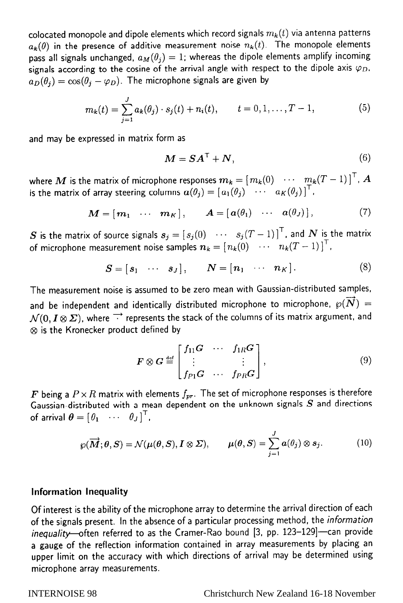colocated monopole and dipole elements which record signals  $m_k(t)$  via antenna patterns  $a_{\mathbf{k}}(\theta)$  in the presence of additive measurement noise  $n_{\mathbf{k}}(t)$ . The monopole elements **pass all signals unchanged,**  $a_M(\theta_i) = 1$ **; whereas the dipole elements amplify incoming** signals according to the cosine of the arrival angle with respect to the dipole axis  $\varphi_D$ ,  $a_D(\theta_i) = \cos(\theta_i - \varphi_D)$ . The microphone signals are given by

$$
m_k(t) = \sum_{j=1}^J a_k(\theta_j) \cdot s_j(t) + n_i(t), \qquad t = 0, 1, \dots, T-1,
$$
 (5)

**and may be expressed in matrix form as** 

$$
M = SA^{\top} + N, \tag{6}
$$

where  $\bm{M}$  is the matrix of microphone responses  $\bm{m_k} = \lfloor m_k(0) \quad \cdots \quad \underbar{m_k}(T-1) \rfloor$  ,  $\bm{A}$ is the matrix of array steering columns  $a(\theta_j) = [a_1(\theta_j) \cdots a_K(\theta_j)]$ 

$$
\boldsymbol{M} = [\boldsymbol{m}_1 \ \cdots \ \boldsymbol{m}_K], \qquad \boldsymbol{A} = [\boldsymbol{a}(\theta_1) \ \cdots \ \boldsymbol{a}(\theta_J)], \qquad (7)
$$

**S** is the matrix of source signals  $s_j = [s_j(0) \cdots s_j(T-1)]^T$ , and  $N$  is the matrix **of microphone measurement noise samples**  $n_k = [n_k(0) \cdots n_k(T-1)]^T$ **,** 

$$
\mathbf{S} = [\mathbf{s}_1 \cdots \mathbf{s}_J], \qquad \mathbf{N} = [\mathbf{n}_1 \cdots \mathbf{n}_K]. \tag{8}
$$

**The measurement noise is assumed to be zero mean with Gaussian-distributed samples,**  and be independent and identically distributed microphone to microphone,  $\wp(\overrightarrow{N})$  =  $\mathcal{N}(0, I \otimes \Sigma)$ , where  $\overrightarrow{\cdot}$  represents the stack of the columns of its matrix argument, and **@ is the Kronecker product defined by** 

$$
\boldsymbol{F} \otimes \boldsymbol{G} \stackrel{\text{def}}{=} \begin{bmatrix} f_{11} \boldsymbol{G} & \cdots & f_{1R} \boldsymbol{G} \\ \vdots & & \vdots \\ f_{P1} \boldsymbol{G} & \cdots & f_{PR} \boldsymbol{G} \end{bmatrix},\tag{9}
$$

**F** being a  $P \times R$  matrix with elements  $f_{pr}$ . The set of microphone responses is therefore **Gaussian-distributed with a mean dependent on the unknown signals S and directions**  of arrival  $\theta = \begin{bmatrix} 0_1 & \cdots & 0_J \end{bmatrix}^\top$ ,

$$
\wp(\overrightarrow{M};\theta,S)=\mathcal{N}(\mu(\theta,S),I\otimes\Sigma), \qquad \mu(\theta,S)=\sum_{j=1}^J a(\theta_j)\otimes s_j. \tag{10}
$$

## **Information Inequality**

**Of interest is the ability of the microphone array to determine the arrival direction of each of the signals present. In the absence of a particular processing method, the information**  inequality-often referred to as the Cramer-Rao bound [3, pp. 123-129]-can provide **a gauge of the reflection information contained in array measurements by placing an upper limit on the accuracy with which directions of arrival may be determined using microphone array measurements.**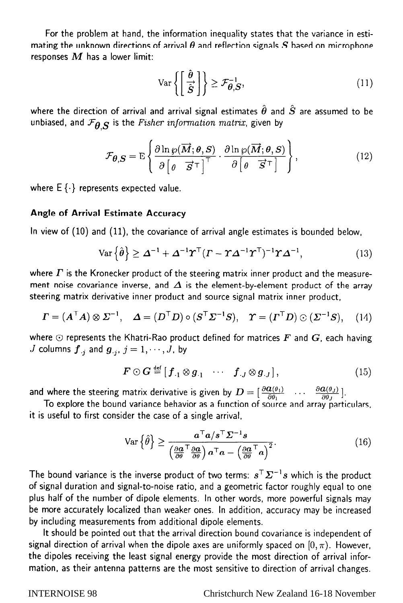**For the problem at hand, the information inequality states that the variance in esti**mating the unknown directions of arrival  $\theta$  and reflection signals  $S$  based on microphone **responses** *M* **has a lower limit:** 

$$
\operatorname{Var}\left\{ \left[ \frac{\hat{\theta}}{\hat{S}} \right] \right\} \ge \mathcal{F}_{\theta, S}^{-1},\tag{11}
$$

where the direction of arrival and arrival signal estimates  $\hat{\theta}$  and  $\hat{S}$  are assumed to be unbiased, and  $\mathcal{F}_{\theta,S}$  is the *Fisher information matrix*, given by

$$
\mathcal{F}_{\theta,S} = \mathrm{E}\left\{\frac{\partial \ln \varphi(\overrightarrow{M};\theta,S)}{\partial \left[\theta \quad \overrightarrow{S}^{\top}\right]^{\top}} \cdot \frac{\partial \ln \varphi(\overrightarrow{M};\theta,S)}{\partial \left[\theta \quad \overrightarrow{S}^{\top}\right]}\right\},\tag{12}
$$

where  $E\{\cdot\}$  represents expected value.

# **Angle of Arrival Estimate Accuracy**

**In view of (10) and (ll), the covariance of arrival angle estimates is bounded below,** 

$$
\text{Var}\left\{\hat{\theta}\right\} \geq \Delta^{-1} + \Delta^{-1} \boldsymbol{\Upsilon}^{\top} (\boldsymbol{\Gamma} - \boldsymbol{\Upsilon} \Delta^{-1} \boldsymbol{\Upsilon}^{\top})^{-1} \boldsymbol{\Upsilon} \Delta^{-1},\tag{13}
$$

where  $\Gamma$  is the Kronecker product of the steering matrix inner product and the measurement noise covariance inverse, and  $\Delta$  is the element-by-element product of the array **steering matrix derivative inner product and source signal matrix inner product,** 

$$
\boldsymbol{\Gamma} = (\boldsymbol{\mathcal{A}}^\top \boldsymbol{\mathcal{A}}) \otimes \boldsymbol{\Sigma}^{-1}, \quad \boldsymbol{\mathcal{A}} = (\boldsymbol{\mathcal{D}}^\top \boldsymbol{\mathcal{D}}) \circ (\boldsymbol{\mathcal{S}}^\top \boldsymbol{\Sigma}^{-1} \boldsymbol{\mathcal{S}}), \quad \boldsymbol{\Upsilon} = (\boldsymbol{\mathcal{I}}^\top \boldsymbol{\mathcal{D}}) \odot (\boldsymbol{\Sigma}^{-1} \boldsymbol{\mathcal{S}}), \quad (14)
$$

where  $\odot$  represents the Khatri-Rao product defined for matrices  $\bm{F}$  and  $\bm{G}$ , each having *J* columns  $\boldsymbol{f}_{\cdot j}$  and  $\boldsymbol{g}_{\cdot j}$ ,  $j = 1, \dots, J$ , by

$$
\boldsymbol{F} \odot \boldsymbol{G} \stackrel{\text{def}}{=} [\boldsymbol{f}_{.1} \otimes \boldsymbol{g}_{.1} \cdots \boldsymbol{f}_{.J} \otimes \boldsymbol{g}_{.J}], \qquad (15)
$$

and where the steering matrix derivative is given by  $D = \frac{\partial u(v_1)}{\partial \alpha}$  ...  $\frac{\partial u(v_1)}{\partial \alpha}$ 

To explore the bound variance behavior as a function of source and array particulars, **it is useful to first consider the case of a single arrival,** 

$$
\operatorname{Var}\left\{\hat{\theta}\right\} \ge \frac{a^{\top}a/s^{\top}\Sigma^{-1}s}{\left(\frac{\partial a}{\partial \theta}^{\top}\frac{\partial a}{\partial \theta}\right)a^{\top}a - \left(\frac{\partial a}{\partial \theta}^{\top}a\right)^{2}}.
$$
\n(16)

The bound variance is the inverse product of two terms:  $s^T\mathbf{\Sigma}^{-1}s$  which is the product **of signal duration and signal-to-noise ratio, and a geometric factor roughly equal to one plus half of the number of dipole elements. In other words, more powerful signals may be more accurately localized than weaker ones. In addition, accuracy may be increased by including measurements from additional dipole elements.** 

**It should be pointed out that the arrival direction bound covariance is independent of**  signal direction of arrival when the dipole axes are uniformly spaced on  $[0, \pi)$ . However, **the dipoles receiving the least signal energy provide the most direction of arrival information, as their antenna patterns are the most sensitive to direction of arrival changes.** 

# INTERNOISE 98 Christchurch New Zealand 16-18 November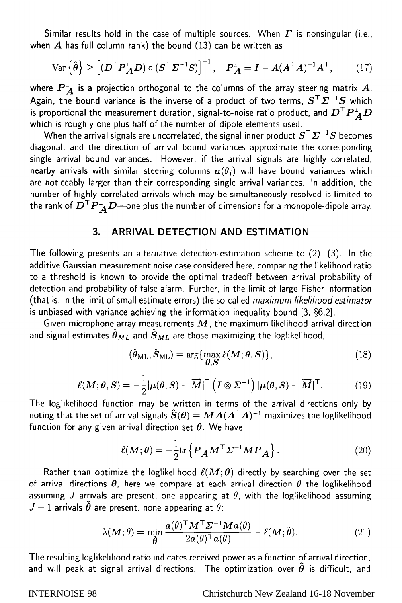Similar results hold in the case of multiple sources. When  $\Gamma$  is nonsingular (i.e., **when** *A* **has full column rank) the bound (13) can be written as** 

$$
\text{Var}\left\{\hat{\boldsymbol{\theta}}\right\} \ge \left[ (\boldsymbol{D}^\top \boldsymbol{P}_{\boldsymbol{A}}^\perp \boldsymbol{D}) \circ (\boldsymbol{S}^\top \boldsymbol{\Sigma}^{-1} \boldsymbol{S}) \right]^{-1}, \quad \boldsymbol{P}_{\boldsymbol{A}}^\perp = \boldsymbol{I} - \boldsymbol{A} (\boldsymbol{A}^\top \boldsymbol{A})^{-1} \boldsymbol{A}^\top, \tag{17}
$$

where  $P_{\mathcal{A}}^{\perp}$  is a projection orthogonal to the columns of the array steering matrix  $\mathcal{A}$ . Again, the bound variance is the inverse of a product of two terms,  $S^T \Sigma^{-1} S$  which is proportional the measurement duration, signal-to-noise ratio product, and  $D^T P_A^{\perp} D$ **which is roughly one plus half of the number of dipole elements used.** 

When the arrival signals are uncorrelated, the signal inner product  $S^T \Sigma^{-1} S$  becomes **diagonal, and the direction of arrival bound variances approximate the corresponding single arrival bound variances. However, if the arrival signals are highly correlated,**  nearby arrivals with similar steering columns  $a(\theta_i)$  will have bound variances which **are noticeably larger than their corresponding single arrival variances. In addition, the number of highly correlated arrivals which may be simultaneously resolved is limited to**  the rank of  $\vec{D}^{\top}\vec{P}_{\vec{A}}^{\perp}\vec{D}$ -one plus the number of dimensions for a monopole-dipole array.

# **3. ARRIVAL DETECTION AND ESTIMATION**

**The following presents an alternative detection-estimation scheme to (2), (3). In the additive Gaussian measurement noise case considered here, comparing the likelihood ratio to a threshold is known to provide the optimal tradeoff between arrival probability of detection and probability of false alarm. Further, in the limit of large Fisher information (that is, in the limit of small estimate errors) the so-called maximum likelihood estimator is unbiased with variance achieving the information inequality bound [3, \$6.2).** 

**Given microphone array measurements** *M,* **the maximum likelihood arrival direction**  and signal estimates  $\hat{\theta}_{ML}$  and  $\hat{S}_{ML}$  are those maximizing the loglikelihood,

$$
(\hat{\theta}_{\mathrm{ML}}, \hat{S}_{\mathrm{ML}}) = \arg\{\max_{\theta, S} \ell(M; \theta, S)\},\tag{18}
$$

$$
\ell(M; \theta, S) = -\frac{1}{2} [\mu(\theta, S) - \overrightarrow{M}]^{\top} \left( I \otimes \Sigma^{-1} \right) [\mu(\theta, S) - \overrightarrow{M}]^{\top}.
$$
 (19)

**The loglikelihood function may be written in terms of the arrival directions only by noting that the set of arrival signals**  $\hat{S}(\theta) = MA(A^{\top}A)^{-1}$  **maximizes the loglikelihood function for any given arrival direction set 8. We have** 

$$
\ell(M; \theta) = -\frac{1}{2} \text{tr} \left\{ P_A^{\perp} M^{\top} \Sigma^{-1} M P_A^{\perp} \right\}. \tag{20}
$$

Rather than optimize the loglikelihood  $\ell(M;\theta)$  directly by searching over the set of arrival directions  $\theta$ , here we compare at each arrival direction  $\theta$  the loglikelihood **assuming** *J* **arrivals are present, one appearing at** *0,* **with the loglikelihood assuming**   $J-1$  arrivals  $\hat{\theta}$  are present, none appearing at  $\theta$ :

$$
\lambda(M;\theta) = \min_{\tilde{\boldsymbol{\theta}}} \frac{\boldsymbol{a}(\theta)^{\top} \boldsymbol{M}^{\top} \boldsymbol{\Sigma}^{-1} \boldsymbol{M} \boldsymbol{a}(\theta)}{2\boldsymbol{a}(\theta)^{\top} \boldsymbol{a}(\theta)} - \ell(\boldsymbol{M};\tilde{\boldsymbol{\theta}}). \tag{21}
$$

**The resulting loglikelihood ratio indicates received power as a function of arrival direction,**  and will peak at signal arrival directions. The optimization over  $\tilde{\theta}$  is difficult, and

### INTERNOISE 98 Christchurch New Zealand 16-18 November